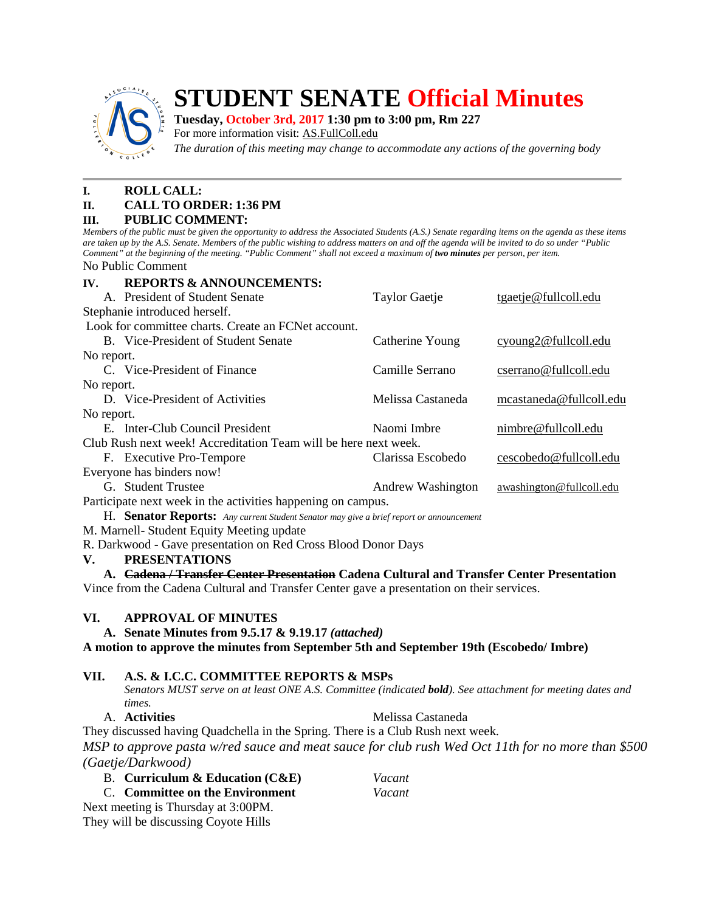

# **STUDENT SENATE Official Minutes**

#### **Tuesday, October 3rd, 2017 1:30 pm to 3:00 pm, Rm 227**

For more information visit: AS.FullColl.edu

*The duration of this meeting may change to accommodate any actions of the governing body*

## **I. ROLL CALL:**

# **II. CALL TO ORDER: 1:36 PM**

#### **III. PUBLIC COMMENT:**

*Members of the public must be given the opportunity to address the Associated Students (A.S.) Senate regarding items on the agenda as these items are taken up by the A.S. Senate. Members of the public wishing to address matters on and off the agenda will be invited to do so under "Public Comment" at the beginning of the meeting. "Public Comment" shall not exceed a maximum of two minutes per person, per item.* No Public Comment

**IV. REPORTS & ANNOUNCEMENTS:** A. President of Student Senate Taylor Gaetje tgaetj[e@fullcoll.edu](mailto:ndiehr@fullcoll.edu) Stephanie introduced herself. Look for committee charts. Create an FCNet account. B. Vice-President of Student Senate Catherine Young cyoung[2@fullcoll.edu](mailto:tgaetje@fullcoll.edu) No report. C. Vice-President of Finance Camille Serrano cserran[o@fullcoll.edu](mailto:kflores@fullcoll.edu) No report. D. Vice-President of Activities Melissa Castaneda mcastaned[a@fullcoll.edu](mailto:lmukasawilson@fullcoll.edu) No report. E. Inter-Club Council President Naomi Imbre nimbre @fullcoll.edu Club Rush next week! Accreditation Team will be here next week. F. Executive Pro-Tempore Clarissa Escobedo cescobedo@fullcoll.edu Everyone has binders now! G. Student Trustee **Andrew Washington** awashington **awashington awashington** Participate next week in the activities happening on campus.

H. **Senator Reports:** *Any current Student Senator may give a brief report or announcement*

M. Marnell- Student Equity Meeting update

R. Darkwood - Gave presentation on Red Cross Blood Donor Days

### **V. PRESENTATIONS**

**A. Cadena / Transfer Center Presentation Cadena Cultural and Transfer Center Presentation** Vince from the Cadena Cultural and Transfer Center gave a presentation on their services.

### **VI. APPROVAL OF MINUTES**

**A. Senate Minutes from 9.5.17 & 9.19.17** *(attached)*

**A motion to approve the minutes from September 5th and September 19th (Escobedo/ Imbre)**

### **VII. A.S. & I.C.C. COMMITTEE REPORTS & MSPs**

*Senators MUST serve on at least ONE A.S. Committee (indicated bold). See attachment for meeting dates and times.*

A. **Activities** Melissa Castaneda

They discussed having Quadchella in the Spring. There is a Club Rush next week. *MSP to approve pasta w/red sauce and meat sauce for club rush Wed Oct 11th for no more than \$500 (Gaetje/Darkwood)*

| juelje/Durkwoou)                  |        |
|-----------------------------------|--------|
| B. Curriculum & Education $(CAE)$ | Vacant |
| C. Committee on the Environment   | Vacant |
|                                   |        |

Next meeting is Thursday at 3:00PM. They will be discussing Coyote Hills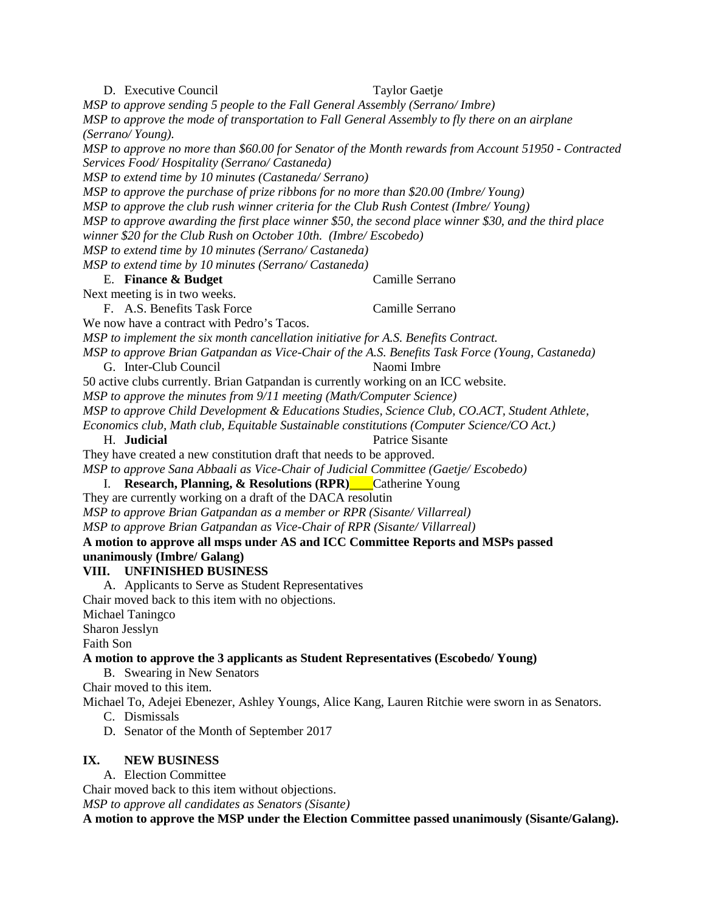D. Executive Council Taylor Gaetie *MSP to approve sending 5 people to the Fall General Assembly (Serrano/ Imbre) MSP to approve the mode of transportation to Fall General Assembly to fly there on an airplane (Serrano/ Young). MSP to approve no more than \$60.00 for Senator of the Month rewards from Account 51950 - Contracted Services Food/ Hospitality (Serrano/ Castaneda) MSP to extend time by 10 minutes (Castaneda/ Serrano) MSP to approve the purchase of prize ribbons for no more than \$20.00 (Imbre/ Young) MSP to approve the club rush winner criteria for the Club Rush Contest (Imbre/ Young) MSP to approve awarding the first place winner \$50, the second place winner \$30, and the third place winner \$20 for the Club Rush on October 10th. (Imbre/ Escobedo) MSP to extend time by 10 minutes (Serrano/ Castaneda) MSP to extend time by 10 minutes (Serrano/ Castaneda)* E. **Finance & Budget** Camille Serrano Next meeting is in two weeks. F. A.S. Benefits Task Force Camille Serrano We now have a contract with Pedro's Tacos. *MSP to implement the six month cancellation initiative for A.S. Benefits Contract. MSP to approve Brian Gatpandan as Vice-Chair of the A.S. Benefits Task Force (Young, Castaneda)*  G. Inter-Club Council Naomi Imbre 50 active clubs currently. Brian Gatpandan is currently working on an ICC website. *MSP to approve the minutes from 9/11 meeting (Math/Computer Science) MSP to approve Child Development & Educations Studies, Science Club, CO.ACT, Student Athlete, Economics club, Math club, Equitable Sustainable constitutions (Computer Science/CO Act.)* H. **Judicial** Patrice Sisante They have created a new constitution draft that needs to be approved. *MSP to approve Sana Abbaali as Vice-Chair of Judicial Committee (Gaetje/ Escobedo)* I. **Research, Planning, & Resolutions (RPR)** Catherine Young They are currently working on a draft of the DACA resolutin *MSP to approve Brian Gatpandan as a member or RPR (Sisante/ Villarreal) MSP to approve Brian Gatpandan as Vice-Chair of RPR (Sisante/ Villarreal)* **A motion to approve all msps under AS and ICC Committee Reports and MSPs passed unanimously (Imbre/ Galang) VIII. UNFINISHED BUSINESS** A. Applicants to Serve as Student Representatives Chair moved back to this item with no objections. Michael Taningco Sharon Jesslyn Faith Son **A motion to approve the 3 applicants as Student Representatives (Escobedo/ Young)** B. Swearing in New Senators Chair moved to this item. Michael To, Adejei Ebenezer, Ashley Youngs, Alice Kang, Lauren Ritchie were sworn in as Senators. C. Dismissals D. Senator of the Month of September 2017 **IX. NEW BUSINESS** A. Election Committee Chair moved back to this item without objections. *MSP to approve all candidates as Senators (Sisante)* **A motion to approve the MSP under the Election Committee passed unanimously (Sisante/Galang).**